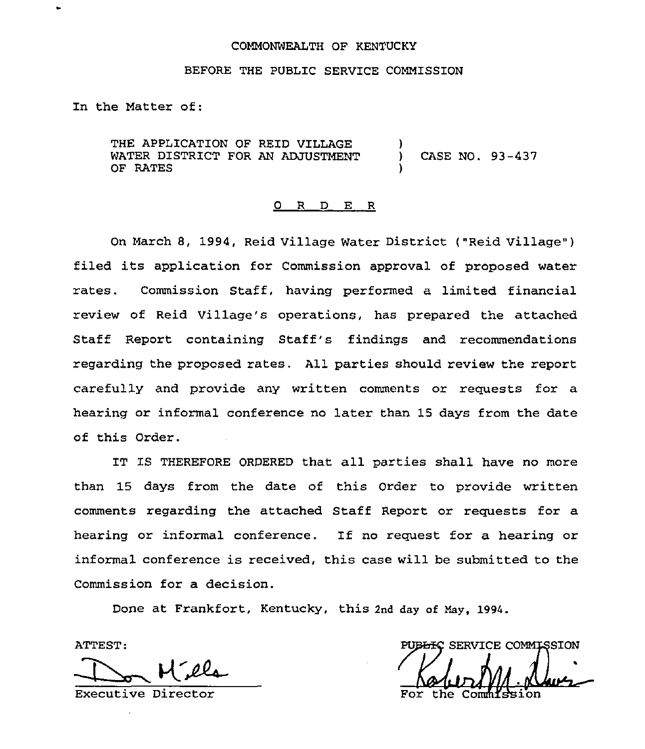#### COMMONWEALTH OF KENTUCKY

#### BEFORE THE PUBLIC SERVICE COMMISSION

In the Matter of:

THE APPLICATION OF REID VILLAGE WATER DISTRICT FOR AN ADJUSTMENT OF RATES ) ) CASE NO. 93-437 )

#### 0 <sup>R</sup> <sup>D</sup> E R

On March 8, 1994, Reid Village Water District ("Reid Village" ) filed its application for Commission approval of proposed water rates. Commission Staff, having performed a limited financial review of Reid Village's operations, has prepared the attached Staff Report containing Staff's findings and recommendations regarding the proposed rates. All parties should review the report carefully and provide any written comments or requests for a hearing or informal conference no later than 15 days from the date of this Order.

IT IS THEREFORE ORDERED that all parties shall have no more than 15 days from the date of this Order to provide written comments regarding the attached Staff Report or requests for a hearing or informal conference. If no request for a hearing or informal conference is received, this case will be submitted to the Commission for a decision.

Done at Frankfort, Kentucky, this 2nd day of Hay, 1994.

ATTEST:

Executive Director

PUBLIC SERVICE COMMISSION  $\mu$ 

For the Comm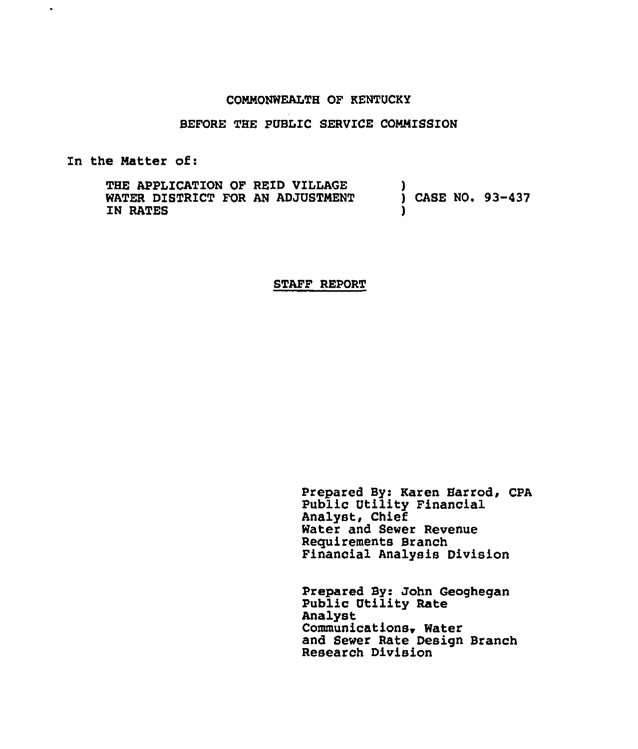### COMMONWEALTH OF KENTUCKY

#### BEFORE THE PUBLIC SERVICE COMMISSION

In the Natter of:

 $\bullet$ 

THE APPLICATION OF RETD VILLAGE WATER DISTRICT FOR AN ADJUSTMENT IN RATES ) ) CASE NO. 93-437 )

#### STAFF REPORT

Prepared By: Karen Harrod, CPA Public Utility Financial Analyst, Chief Water and Sewer Revenue Requirements Branch Financial Analysis Division

Prepared By: John Geoghegan Public Utility Rate Analyst Communications~ Water and Sewer Rate Design Branch Research Division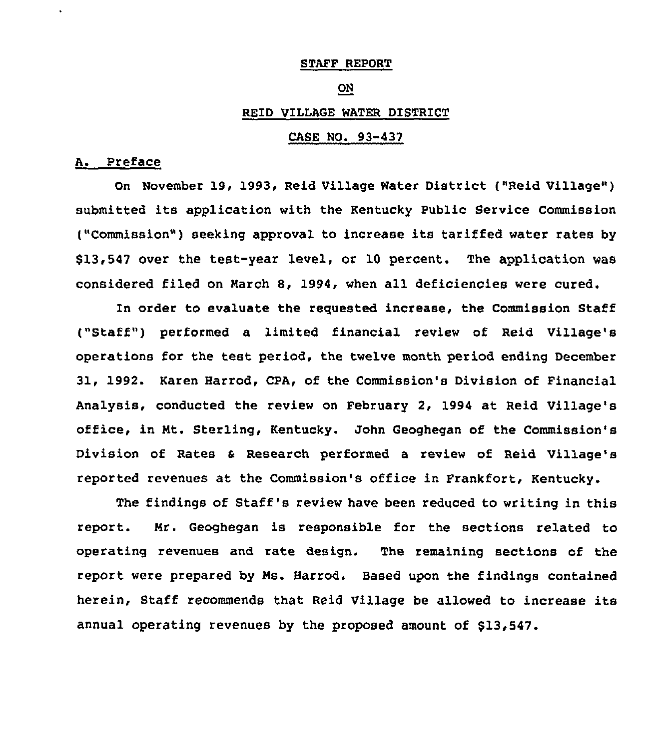### STAFF REPORT

#### ON

#### REID VILLAGE WATER DISTRICT

### CASE NO. 93-437

## A. Preface

On November 19, 1993, Reid Village Water District ("Reid Village" ) submitted its application with the Kentucky Public Service Commission ("Commission") seeking approval to increase its tariffed water rates by \$13,547 over the test-year level, or 10 percent. The application was considered filed on March 8, 1994, when all deficiencies were cured.

In order to evaluate the requested increase, the Commission Staff ("Staff") performed a limited financial review of Reid Village's operations for the test period, the twelve month period ending December 31, 1992. Karen Harrod, CPA, of the Commission's Division of Financial Analysis, conducted the review on February 2, 1994 at Reid Village's office, in Mt. Sterling, Kentucky. John Geoghegan of the Commission's Division of Rates a Research performed a review of Reid Village's reported revenues at the Commission's office in Frankfort, Kentucky.

The findings of Staff's review have been reduced to writing in this report. Mr. Geoghegan is responsible for the sections related to operating revenues and rate design. The remaining sections of the report were prepared by Ms. Harrod. Based upon the findings contained herein, Staff recommends that Reid Village be allowed to increase its annual operating revenues by the proposed amount of \$13,547.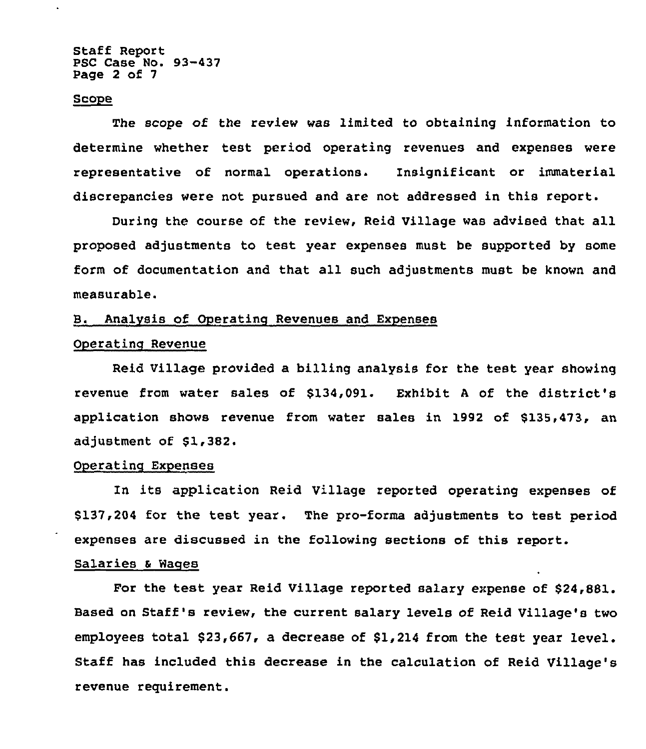Staff Report PSC Case No. 93-437 Page 2 of 7

#### Scope

The scope of the review was limited to obtaining information to determine whether test period operating revenues and expenses were representative of normal operations. Insignificant or immaterial discrepancies were not pursued and are not addressed in this report.

During the course of the review, Reid Village was advised that all proposed adjustments to test year expenses must be supported by some form of documentation and that all such adjustments must be known and measurable.

## B. Analysis of Operating Revenues and Expenses

### Operating Revenue

Reid Village provided a billing analysis for the test year showing revenue from water sales of \$134,091. Exhibit <sup>A</sup> of the district's application shows revenue from water sales in 1992 of \$135,473, an adjustment of \$1,382.

### Operating Expenses

In its application Reid Village reported operating expenses of \$137,204 for the test year. The pro-forms adjustments to test period expenses are discussed in the following sections of this report.

## Salaries <sup>a</sup> Wages

For the test year Reid Village reported salary expense of \$24,881. Based on Staff's review, the current salary levels of Reid Village's two employees total \$23,667, a decrease of \$1,214 from the test year level. Staff has included this decrease in the calculation of Reid Village's revenue requirement.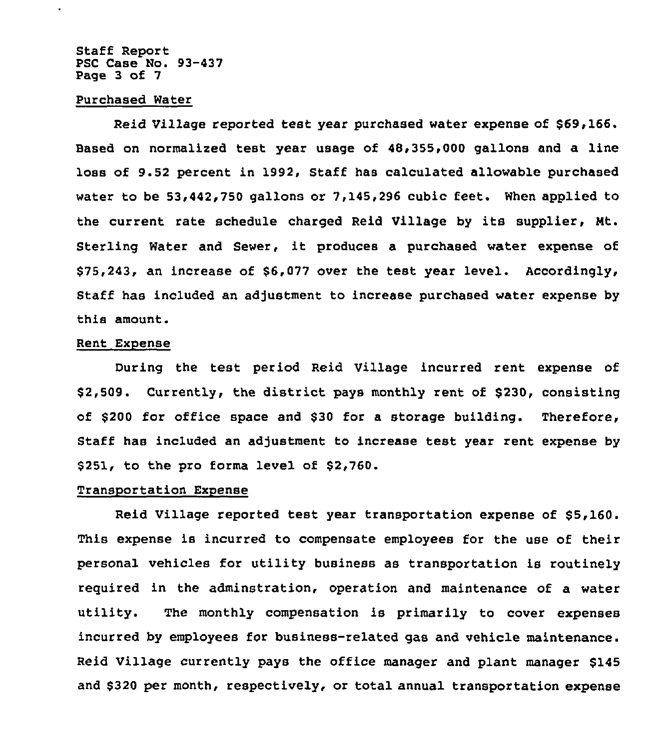Staff Report PSC Case No. 93-437 Page 3 of 7

### Purchased Water

Reid Village reported test year purchased water expense of \$69,166. Eased on normalized test year usage of 40,355,000 gallons and a line loss of 9.52 percent in 1992, Staff has calculated allowable purchased water to be 53,442,750 gallons or 7,145,296 cubic feet. When applied to the current rate schedule charged Reid Village by its supplier, Nt. Sterling Water and Sewer, it produces <sup>a</sup> purchased water expense of \$75,243, an increase of \$6,077 over the test year level. Accordingly, Staff has included an adjustment to increase purchased water expense by this amount.

#### Rent Expense

During the test period Reid Village incurred rent expense of \$2,509. Currently, the district pays monthly rent of \$230, consisting of  $$200$  for office space and  $$30$  for a storage building. Therefore, Staff has included an adjustment to increase test year rent expense by \$251, to the pro forma level of \$2,760.

#### Transportation Exoense

Reid Village reported test year transportation expense of \$5,160. This expense is incurred to compensate employees for the use of their personal vehicles for utility business as transportation is routinely required in the adminstration, operation and maintenance of a water utility. The monthly compensation is primarily to cover expenses incurred by employees for business-related gas and vehicle maintenance. Reid Village currently pays the office manager and plant manager \$145 and \$320 per month, respectively, or total annual transportation expense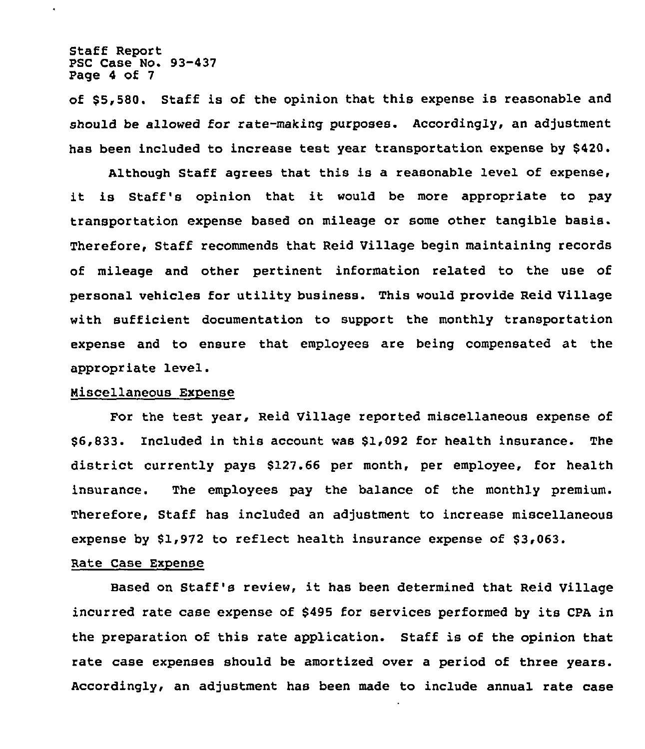### Staff Report PSC Case No. 93-437 Page 4 of 7

of \$5,580. Staff is of the opinion that this expense is reasonable and should be allowed for rate-making purposes. Accordingly, an adjustment has been included to increase test year transportation expense by \$420.

Although Staff agrees that this is a reasonable level of expense, it is Staff's opinion that it would be more appropriate to pay transportation expense based on mileage or some other tangible basis. Therefore, Staff recommends that Reid Village begin maintaining records of mileage and other pertinent information related to the use of personal vehicles for utility business. This would provide Reid Village with sufficient documentation to support the monthly transportation expense and to ensure that employees are being compensated at the appropriate level.

#### Miscellaneous Expense

Por the test year, Reid Village reported miscellaneous expense of \$ 6,833. Included in this account was \$1,092 for health insurance. The district currently pays \$127.66 per month, per employee, for health insurance. The employees pay the balance of the monthly premium. Therefore, Staff has included an adjustment to increase miscellaneous expense by \$1,972 to reflect health insurance expense of \$3,063.

#### Rate Case Expense

Based on Staff's review, it has been determined that Reid Village incurred rate case expense of \$495 for services performed by its CPA in the preparation of this rate application. Staff is of the opinion that rate case expenses should be amortized over a period of three years. Accordingly, an adjustment has been made to include annual rate case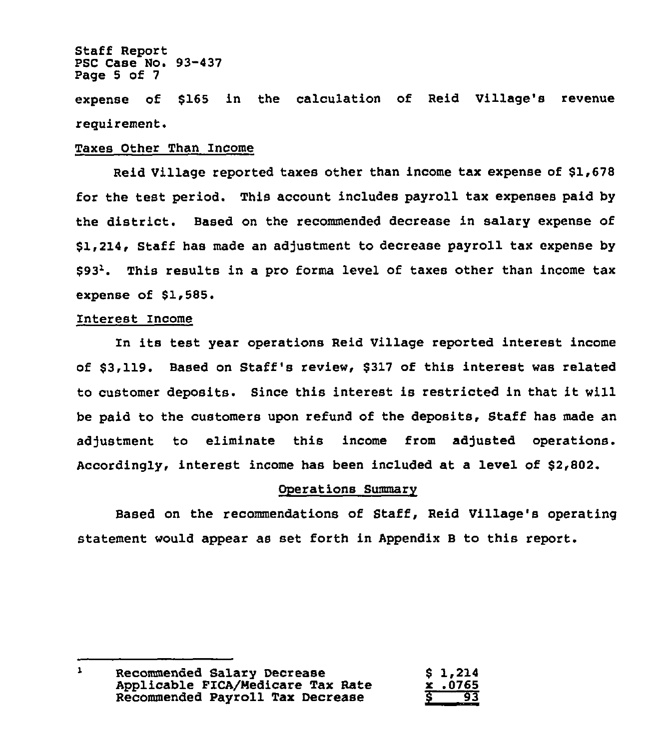### Staff Report PSC Case No. 93-437 Page <sup>5</sup> of 7

expense of \$165 in the calculation of Reid Village's revenue reguirement.

### Taxes Other Than Income

Reid Village reported taxes other than income tax expense of \$1,678 for the test period. This account includes payroll tax expenses paid by the district. Based on the recommended decrease in salary expense of \$1,214, Staff has made an adjustment to decrease payroll tax expense by  $$93<sup>2</sup>$ . This results in a pro forma level of taxes other than income tax expense of \$1,585.

## Interest Income

In its test year operations Reid Village reported interest income of \$3,119. Based on Staff's review, \$317 of this interest was related to customer deposits. Since this interest is restricted in that it will be paid to the customers upon refund of the deposits, Staff has made an adjustment to eliminate this income from adjusted operations. Accordingly, interest income has been included at a level of \$2,802.

## operations Summary

Based on the recommendations of Staff, Reid Village's operating statement would appear as set forth in Appendix B to this report.

 $\mathbf{1}$ Recommended Salary Decrease \$ 1,214 Applicable PICA/Medicare Tax Rate x .0765 Recommended Payroll Tax Decrease S 93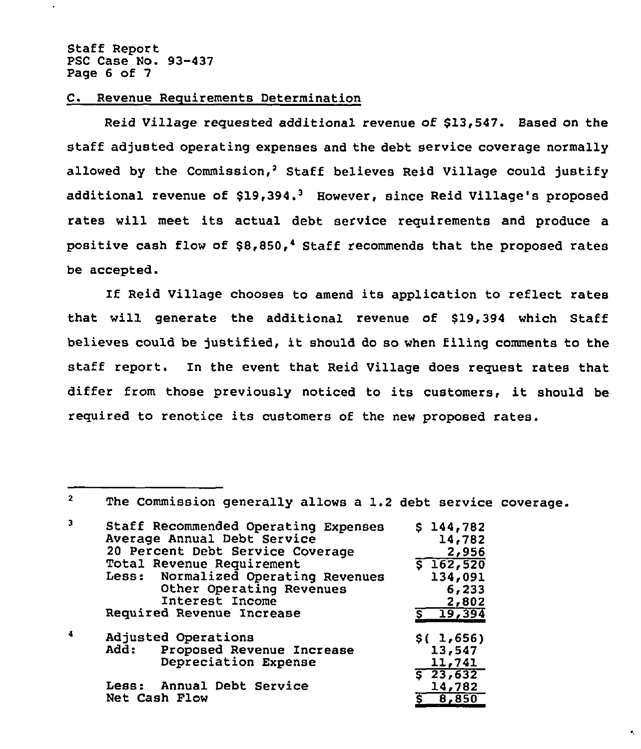$2<sup>1</sup>$ 

### C. Revenue Recuirements Determination

Reid Village requested additional revenue of \$13,547. Based on the staff adjusted operating expenses and the debt service coverage normally allowed by the Commission,<sup>2</sup> Staff believes Reid Village could justify additional revenue of \$19,394.<sup>3</sup> However, since Reid Village's proposed rates will meet its actual debt service requirements and produce a positive cash flow of  $$8,850,$ <sup>4</sup> Staff recommends that the proposed rates be accepted.

If Reid Village chooses to amend its application to reflect rates that will generate the additional revenue of \$19,394 which Staff believes could be justified, it should do so when filing comments to the staff report. In the event that Reid Village does request rates that differ from those previously noticed to its customers, it should be required to renotice its customers of the new proposed rates.

The Commission generally allows a 1.2 debt service coverage.

| 3 | Staff Recommended Operating Expenses<br>Average Annual Debt Service | \$144,782<br>14,782 |  |
|---|---------------------------------------------------------------------|---------------------|--|
|   | 20 Percent Debt Service Coverage                                    | 2,956               |  |
|   | Total Revenue Requirement                                           | \$162,520           |  |
|   | Less: Normalized Operating Revenues                                 | 134,091             |  |
|   | Other Operating Revenues                                            | 6,233               |  |
|   | Interest Income                                                     | 2,802               |  |
|   | Required Revenue Increase                                           | $5 - 19,394$        |  |
| 4 | Adjusted Operations                                                 | \$(.1,656)          |  |
|   | Add: Proposed Revenue Increase                                      | 13,547              |  |
|   | Depreciation Expense                                                | 11,741              |  |
|   |                                                                     |                     |  |

|               |  |                           | $5\,23,632$ |
|---------------|--|---------------------------|-------------|
|               |  | Less: Annual Debt Service |             |
|               |  |                           | 14,782      |
| Net Cash Flow |  |                           | 5, 8, 850   |
|               |  |                           |             |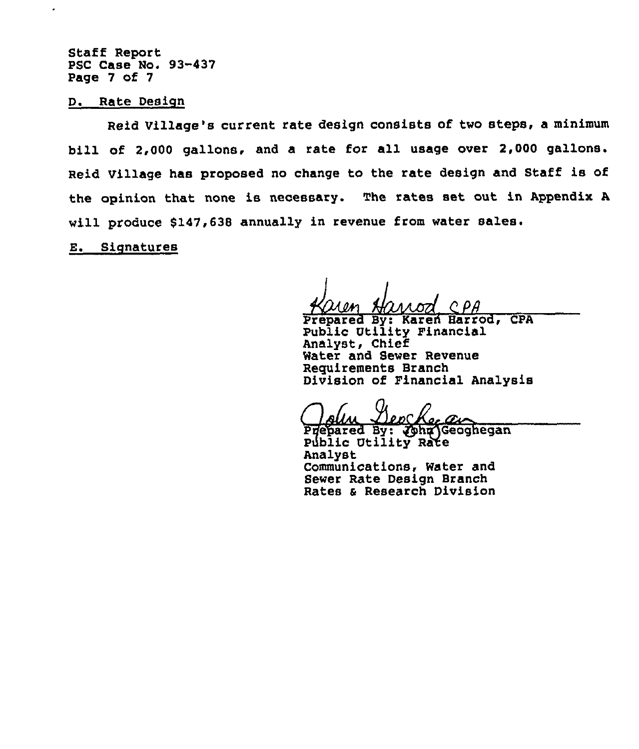Staff Report PSC Case No. 93-437 Page 7 of 7

D. Rate Design

Reid Village's current rate design consists of two steps, a minimum bill of 2,000 gallons. and a rate for all usage over 2,000 gallons. Reid Village has proposed no change to the rate design and Staff is of the opinion that none is necessary. The rates set out in Appendix <sup>A</sup> will produce 6147,638 annually in revenue from water sales.

E. Signatures

Prepared By: Karen Harrod, CPA Public Utility Financial Analyst, Chief Water and Sewer Revenue Reguirements Branch Division of Pinancial Analysis

an

Piepared By: Cha Geogheg Public Utility Rate Analyst Communications, Water and Sewer Rate Design Branch Rates & Research Division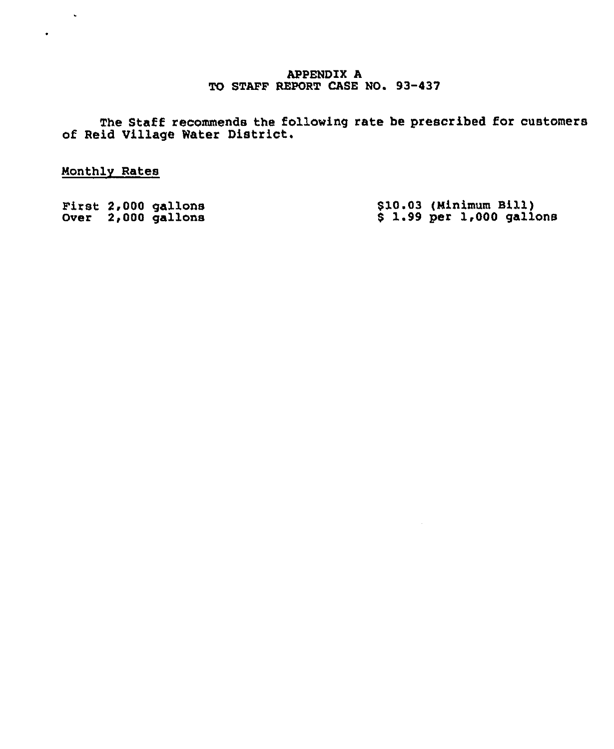## APPENDIX A TO STAFF REPORT CASE NO. 93-437

The Staff recommends the following rate be prescribed for customer of Reid Village Water District.

Monthly Rates

 $\sim 10$ 

 $\bullet$  .  $\bullet$ 

|  | First 2,000 gallons | \$10.03 (Minimum Bill)      |  |
|--|---------------------|-----------------------------|--|
|  | Over 2,000 gallons  | $$1.99$ per $1,000$ gallons |  |